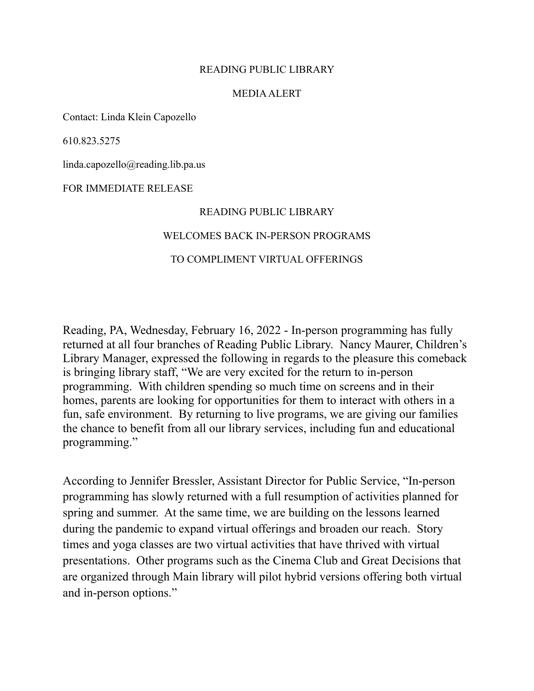# READING PUBLIC LIBRARY

## MEDIA ALERT

Contact: Linda Klein Capozello

610.823.5275

linda.capozello@reading.lib.pa.us

## FOR IMMEDIATE RELEASE

### READING PUBLIC LIBRARY

### WELCOMES BACK IN-PERSON PROGRAMS

# TO COMPLIMENT VIRTUAL OFFERINGS

Reading, PA, Wednesday, February 16, 2022 - In-person programming has fully returned at all four branches of Reading Public Library. Nancy Maurer, Children's Library Manager, expressed the following in regards to the pleasure this comeback is bringing library staff, "We are very excited for the return to in-person programming. With children spending so much time on screens and in their homes, parents are looking for opportunities for them to interact with others in a fun, safe environment. By returning to live programs, we are giving our families the chance to benefit from all our library services, including fun and educational programming."

According to Jennifer Bressler, Assistant Director for Public Service, "In-person programming has slowly returned with a full resumption of activities planned for spring and summer. At the same time, we are building on the lessons learned during the pandemic to expand virtual offerings and broaden our reach. Story times and yoga classes are two virtual activities that have thrived with virtual presentations. Other programs such as the Cinema Club and Great Decisions that are organized through Main library will pilot hybrid versions offering both virtual and in-person options."